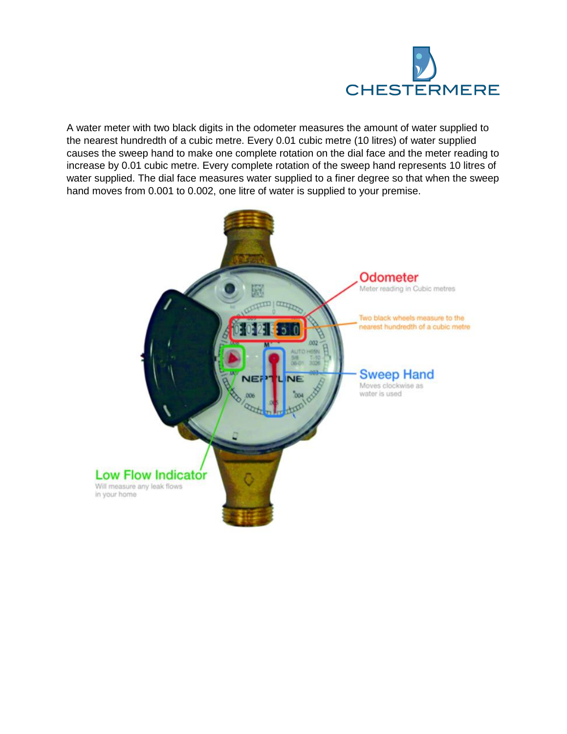

A water meter with two black digits in the odometer measures the amount of water supplied to the nearest hundredth of a cubic metre. Every 0.01 cubic metre (10 litres) of water supplied causes the sweep hand to make one complete rotation on the dial face and the meter reading to increase by 0.01 cubic metre. Every complete rotation of the sweep hand represents 10 litres of water supplied. The dial face measures water supplied to a finer degree so that when the sweep hand moves from 0.001 to 0.002, one litre of water is supplied to your premise.